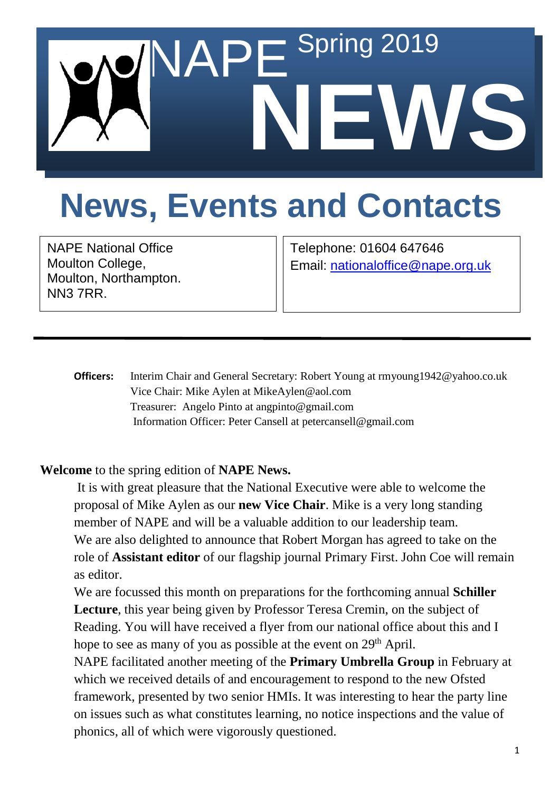

## **News, Events and Contacts**

NAPE National Office Moulton College, Moulton, Northampton. NN3 7RR.

Telephone: 01604 647646 Email: [nationaloffice@nape.org.uk](mailto:nationaloffice@nape.org.uk)

**Officers:** Interim Chair and General Secretary: Robert Young at rmyoung1942@yahoo.co.uk Vice Chair: Mike Aylen at MikeAylen@aol.com Treasurer: Angelo Pinto at angpinto@gmail.com Information Officer: Peter Cansell at petercansell@gmail.com

## **Welcome** to the spring edition of **NAPE News.**

It is with great pleasure that the National Executive were able to welcome the proposal of Mike Aylen as our **new Vice Chair**. Mike is a very long standing member of NAPE and will be a valuable addition to our leadership team. We are also delighted to announce that Robert Morgan has agreed to take on the role of **Assistant editor** of our flagship journal Primary First. John Coe will remain as editor.

We are focussed this month on preparations for the forthcoming annual **Schiller Lecture**, this year being given by Professor Teresa Cremin, on the subject of Reading. You will have received a flyer from our national office about this and I hope to see as many of you as possible at the event on 29<sup>th</sup> April.

NAPE facilitated another meeting of the **Primary Umbrella Group** in February at which we received details of and encouragement to respond to the new Ofsted framework, presented by two senior HMIs. It was interesting to hear the party line on issues such as what constitutes learning, no notice inspections and the value of phonics, all of which were vigorously questioned.